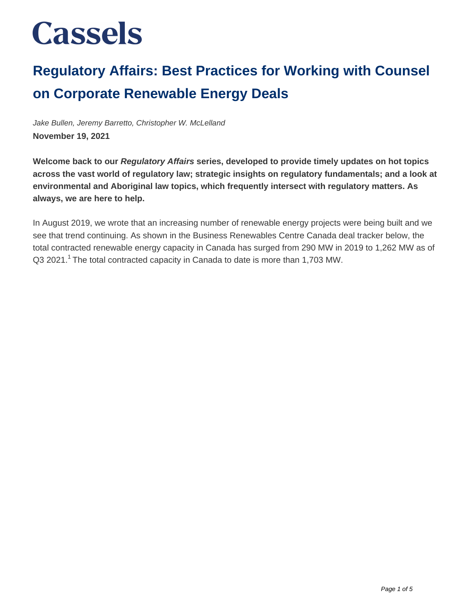### **Regulatory Affairs: Best Practices for Working with Counsel on Corporate Renewable Energy Deals**

Jake Bullen, Jeremy Barretto, Christopher W. McLelland **November 19, 2021**

**Welcome back to our Regulatory Affairs series, developed to provide timely updates on hot topics across the vast world of regulatory law; strategic insights on regulatory fundamentals; and a look at environmental and Aboriginal law topics, which frequently intersect with regulatory matters. As always, we are here to help.**

In August 2019, we wrote that an increasing number of renewable energy projects were being built and we see that trend continuing. As shown in the Business Renewables Centre Canada deal tracker below, the total contracted renewable energy capacity in Canada has surged from 290 MW in 2019 to 1,262 MW as of  $Q3$  2021.<sup>1</sup> The total contracted capacity in Canada to date is more than 1,703 MW.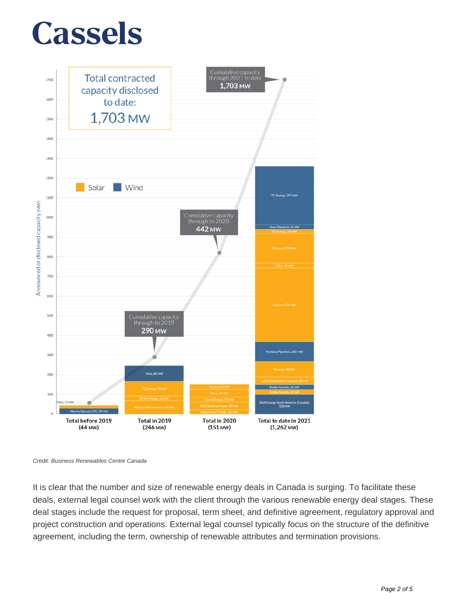



Credit: Business Renewables Centre Canada

It is clear that the number and size of renewable energy deals in Canada is surging. To facilitate these deals, external legal counsel work with the client through the various renewable energy deal stages. These deal stages include the request for proposal, term sheet, and definitive agreement, regulatory approval and project construction and operations. External legal counsel typically focus on the structure of the definitive agreement, including the term, ownership of renewable attributes and termination provisions.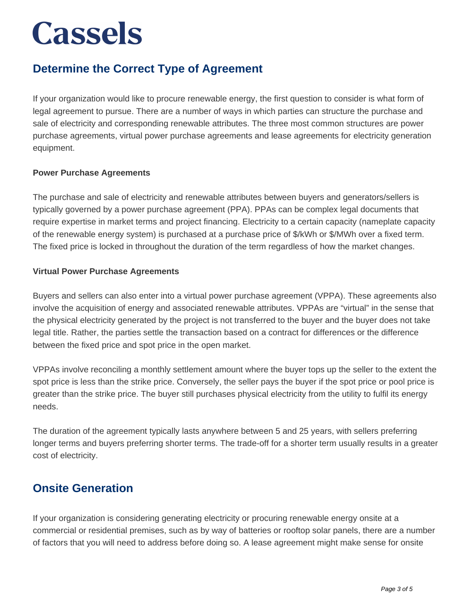### **Determine the Correct Type of Agreement**

If your organization would like to procure renewable energy, the first question to consider is what form of legal agreement to pursue. There are a number of ways in which parties can structure the purchase and sale of electricity and corresponding renewable attributes. The three most common structures are power purchase agreements, virtual power purchase agreements and lease agreements for electricity generation equipment.

#### **Power Purchase Agreements**

The purchase and sale of electricity and renewable attributes between buyers and generators/sellers is typically governed by a power purchase agreement (PPA). PPAs can be complex legal documents that require expertise in market terms and project financing. Electricity to a certain capacity (nameplate capacity of the renewable energy system) is purchased at a purchase price of \$/kWh or \$/MWh over a fixed term. The fixed price is locked in throughout the duration of the term regardless of how the market changes.

#### **Virtual Power Purchase Agreements**

Buyers and sellers can also enter into a virtual power purchase agreement (VPPA). These agreements also involve the acquisition of energy and associated renewable attributes. VPPAs are "virtual" in the sense that the physical electricity generated by the project is not transferred to the buyer and the buyer does not take legal title. Rather, the parties settle the transaction based on a contract for differences or the difference between the fixed price and spot price in the open market.

VPPAs involve reconciling a monthly settlement amount where the buyer tops up the seller to the extent the spot price is less than the strike price. Conversely, the seller pays the buyer if the spot price or pool price is greater than the strike price. The buyer still purchases physical electricity from the utility to fulfil its energy needs.

The duration of the agreement typically lasts anywhere between 5 and 25 years, with sellers preferring longer terms and buyers preferring shorter terms. The trade-off for a shorter term usually results in a greater cost of electricity.

#### **Onsite Generation**

If your organization is considering generating electricity or procuring renewable energy onsite at a commercial or residential premises, such as by way of batteries or rooftop solar panels, there are a number of factors that you will need to address before doing so. A lease agreement might make sense for onsite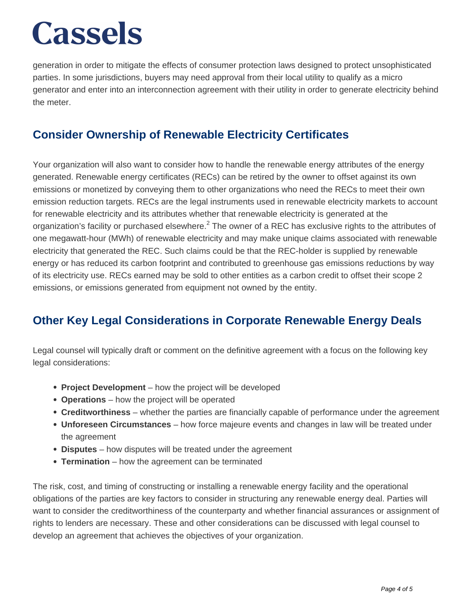generation in order to mitigate the effects of consumer protection laws designed to protect unsophisticated parties. In some jurisdictions, buyers may need approval from their local utility to qualify as a micro generator and enter into an interconnection agreement with their utility in order to generate electricity behind the meter.

### **Consider Ownership of Renewable Electricity Certificates**

Your organization will also want to consider how to handle the renewable energy attributes of the energy generated. Renewable energy certificates (RECs) can be retired by the owner to offset against its own emissions or monetized by conveying them to other organizations who need the RECs to meet their own emission reduction targets. RECs are the legal instruments used in renewable electricity markets to account for renewable electricity and its attributes whether that renewable electricity is generated at the organization's facility or purchased elsewhere.<sup>2</sup> The owner of a REC has exclusive rights to the attributes of one megawatt-hour (MWh) of renewable electricity and may make unique claims associated with renewable electricity that generated the REC. Such claims could be that the REC-holder is supplied by renewable energy or has reduced its carbon footprint and contributed to greenhouse gas emissions reductions by way of its electricity use. RECs earned may be sold to other entities as a carbon credit to offset their scope 2 emissions, or emissions generated from equipment not owned by the entity.

### **Other Key Legal Considerations in Corporate Renewable Energy Deals**

Legal counsel will typically draft or comment on the definitive agreement with a focus on the following key legal considerations:

- **Project Development** how the project will be developed
- **Operations** how the project will be operated
- **Creditworthiness** whether the parties are financially capable of performance under the agreement
- **Unforeseen Circumstances** how force majeure events and changes in law will be treated under the agreement
- **Disputes** how disputes will be treated under the agreement
- **Termination** how the agreement can be terminated

The risk, cost, and timing of constructing or installing a renewable energy facility and the operational obligations of the parties are key factors to consider in structuring any renewable energy deal. Parties will want to consider the creditworthiness of the counterparty and whether financial assurances or assignment of rights to lenders are necessary. These and other considerations can be discussed with legal counsel to develop an agreement that achieves the objectives of your organization.